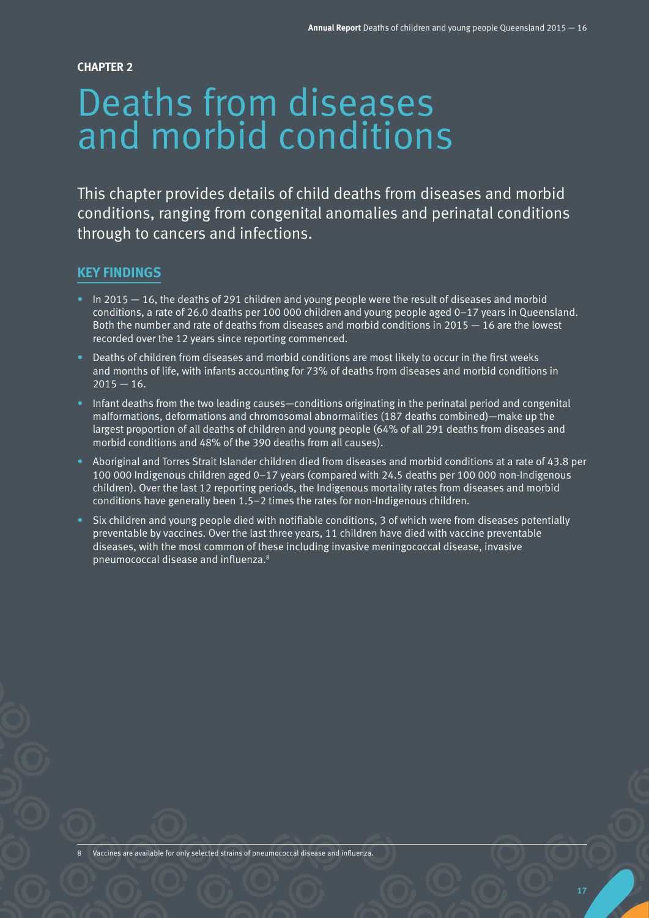**CHAPTER 2**

# Deaths from diseases and morbid conditions

This chapter provides details of child deaths from diseases and morbid conditions, ranging from congenital anomalies and perinatal conditions through to cancers and infections.

# **KEY FINDINGS**

- $\bullet$  In 2015  $-$  16, the deaths of 291 children and young people were the result of diseases and morbid conditions, a rate of 26.0 deaths per 100 000 children and young people aged 0-17 years in Queensland. Both the number and rate of deaths from diseases and morbid conditions in 2015 — 16 are the lowest recorded over the 12 years since reporting commenced.
- Deaths of children from diseases and morbid conditions are most likely to occur in the first weeks and months of life, with infants accounting for 73% of deaths from diseases and morbid conditions in  $2015 - 16.$
- Infant deaths from the two leading causes—conditions originating in the perinatal period and congenital  $malformations, deformations and chromosomal abnormalities (187 deaths combined) – make up the$ largest proportion of all deaths of children and young people (64% of all 291 deaths from diseases and morbid conditions and 48% of the 390 deaths from all causes).
- Aboriginal and Torres Strait Islander children died from diseases and morbid conditions at a rate of 43.8 per 100 000 Indigenous children aged 0–17 years (compared with 24.5 deaths per 100 000 non-Indigenous children). Over the last 12 reporting periods, the Indigenous mortality rates from diseases and morbid conditions have generally been 1.5–2 times the rates for non-Indigenous children.
- Six children and young people died with notifiable conditions, 3 of which were from diseases potentially preventable by vaccines. Over the last three years, 11 children have died with vaccine preventable diseases, with the most common of these including invasive meningococcal disease, invasive pneumococcal disease and influenza.8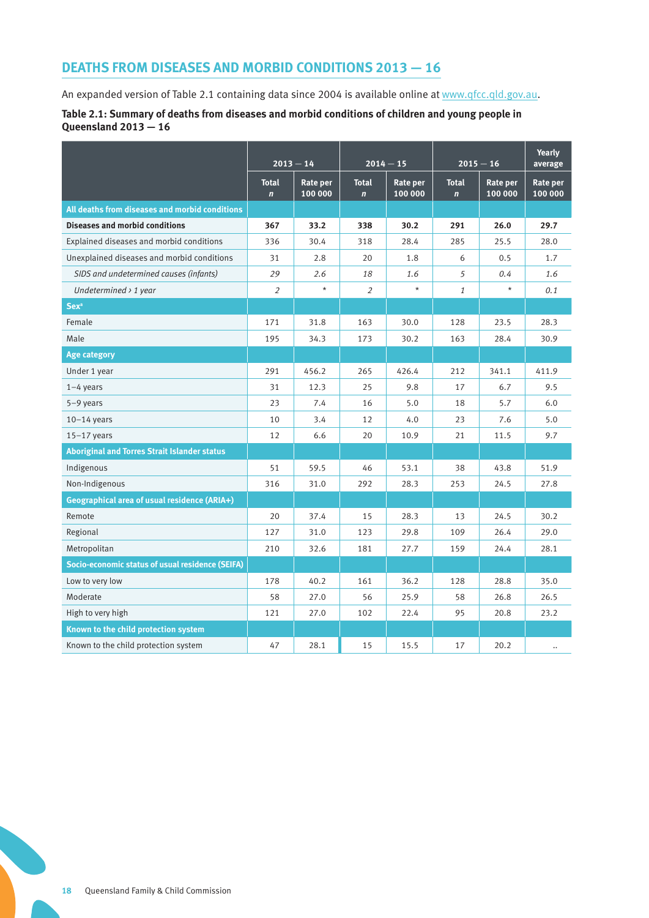# **DEATHS FROM DISEASES AND MORBID CONDITIONS 2013 — 16**

An expanded version of Table 2.1 containing data since 2004 is available online at [www.qfcc.qld.gov.au](http://www.qfcc.qld.gov.au).

#### **Table 2.1: Summary of deaths from diseases and morbid conditions of children and young people in Queensland 2013 — 16**

|                                                     | $2013 - 14$<br>$2014 - 15$  |                     |                              | $2015 - 16$         |                              |                            |                      |
|-----------------------------------------------------|-----------------------------|---------------------|------------------------------|---------------------|------------------------------|----------------------------|----------------------|
|                                                     | <b>Total</b><br>$\mathbf n$ | Rate per<br>100 000 | <b>Total</b><br>$\mathbf{n}$ | Rate per<br>100 000 | <b>Total</b><br>$\mathbf{n}$ | <b>Rate per</b><br>100 000 | Rate per<br>100 000  |
| All deaths from diseases and morbid conditions      |                             |                     |                              |                     |                              |                            |                      |
| <b>Diseases and morbid conditions</b>               | 367                         | 33.2                | 338                          | 30.2                | 291                          | 26.0                       | 29.7                 |
| Explained diseases and morbid conditions            | 336                         | 30.4                | 318                          | 28.4                | 285                          | 25.5                       | 28.0                 |
| Unexplained diseases and morbid conditions          | 31                          | 2.8                 | 20                           | 1.8                 | 6                            | 0.5                        | 1.7                  |
| SIDS and undetermined causes (infants)              | 29                          | 2.6                 | 18                           | 1.6                 | 5                            | $0.4\,$                    | 1.6                  |
| Undetermined $\rightarrow$ 1 year                   | $\overline{2}$              | $^\star$            | $\overline{2}$               | $\star$             | $\mathbf{1}$                 | $\star$                    | 0.1                  |
| <b>Sex<sup>a</sup></b>                              |                             |                     |                              |                     |                              |                            |                      |
| Female                                              | 171                         | 31.8                | 163                          | 30.0                | 128                          | 23.5                       | 28.3                 |
| Male                                                | 195                         | 34.3                | 173                          | 30.2                | 163                          | 28.4                       | 30.9                 |
| <b>Age category</b>                                 |                             |                     |                              |                     |                              |                            |                      |
| Under 1 year                                        | 291                         | 456.2               | 265                          | 426.4               | 212                          | 341.1                      | 411.9                |
| $1-4$ years                                         | 31                          | 12.3                | 25                           | 9.8                 | 17                           | 6.7                        | 9.5                  |
| $5-9$ years                                         | 23                          | 7.4                 | 16                           | 5.0                 | 18                           | 5.7                        | 6.0                  |
| $10-14$ years                                       | 10                          | 3.4                 | 12                           | 4.0                 | 23                           | 7.6                        | 5.0                  |
| $15-17$ years                                       | 12                          | 6.6                 | 20                           | 10.9                | 21                           | 11.5                       | 9.7                  |
| <b>Aboriginal and Torres Strait Islander status</b> |                             |                     |                              |                     |                              |                            |                      |
| Indigenous                                          | 51                          | 59.5                | 46                           | 53.1                | 38                           | 43.8                       | 51.9                 |
| Non-Indigenous                                      | 316                         | 31.0                | 292                          | 28.3                | 253                          | 24.5                       | 27.8                 |
| Geographical area of usual residence (ARIA+)        |                             |                     |                              |                     |                              |                            |                      |
| Remote                                              | 20                          | 37.4                | 15                           | 28.3                | 13                           | 24.5                       | 30.2                 |
| Regional                                            | 127                         | 31.0                | 123                          | 29.8                | 109                          | 26.4                       | 29.0                 |
| Metropolitan                                        | 210                         | 32.6                | 181                          | 27.7                | 159                          | 24.4                       | 28.1                 |
| Socio-economic status of usual residence (SEIFA)    |                             |                     |                              |                     |                              |                            |                      |
| Low to very low                                     | 178                         | 40.2                | 161                          | 36.2                | 128                          | 28.8                       | 35.0                 |
| Moderate                                            | 58                          | 27.0                | 56                           | 25.9                | 58                           | 26.8                       | 26.5                 |
| High to very high                                   | 121                         | 27.0                | 102                          | 22.4                | 95                           | 20.8                       | 23.2                 |
| Known to the child protection system                |                             |                     |                              |                     |                              |                            |                      |
| Known to the child protection system                | 47                          | 28.1                | 15                           | 15.5                | 17                           | 20.2                       | $\ddot{\phantom{a}}$ |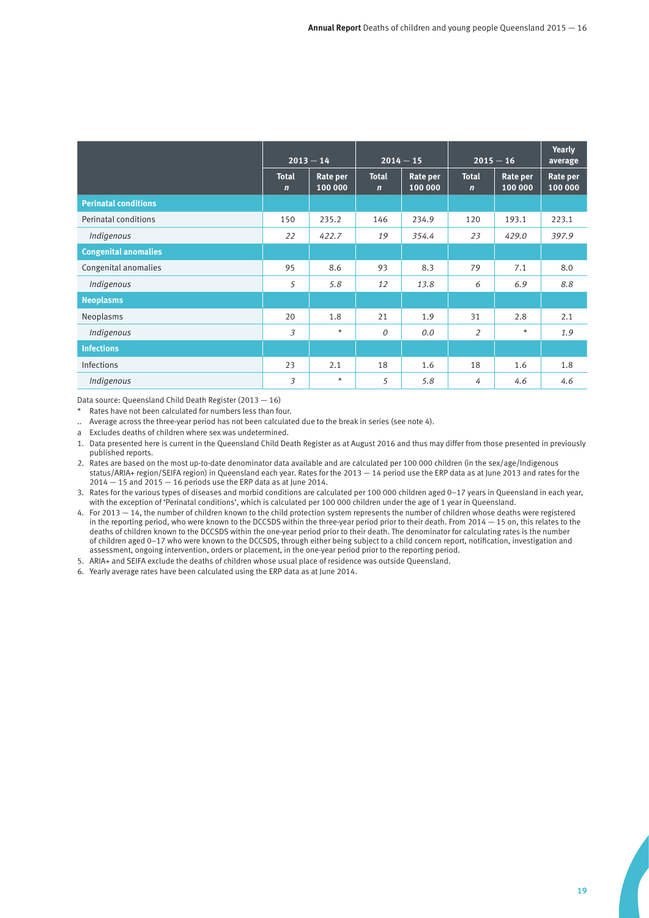|                             | $2013 - 14$                 |                     | $2014 - 15$                 |                            | $2015 - 16$                 |                     | <b>Yearly</b><br>average |
|-----------------------------|-----------------------------|---------------------|-----------------------------|----------------------------|-----------------------------|---------------------|--------------------------|
|                             | <b>Total</b><br>$\mathbf n$ | Rate per<br>100 000 | <b>Total</b><br>$\mathbf n$ | <b>Rate per</b><br>100 000 | <b>Total</b><br>$\mathbf n$ | Rate per<br>100 000 | Rate per<br>100 000      |
| <b>Perinatal conditions</b> |                             |                     |                             |                            |                             |                     |                          |
| Perinatal conditions        | 150                         | 235.2               | 146                         | 234.9                      | 120                         | 193.1               | 223.1                    |
| Indigenous                  | 22                          | 422.7               | 19                          | 354.4                      | 23                          | 429.0               | 397.9                    |
| <b>Congenital anomalies</b> |                             |                     |                             |                            |                             |                     |                          |
| Congenital anomalies        | 95                          | 8.6                 | 93                          | 8.3                        | 79                          | 7.1                 | 8.0                      |
| Indigenous                  | 5                           | 5.8                 | 12                          | 13.8                       | 6                           | 6.9                 | 8.8                      |
| <b>Neoplasms</b>            |                             |                     |                             |                            |                             |                     |                          |
| Neoplasms                   | 20                          | 1.8                 | 21                          | 1.9                        | 31                          | 2.8                 | 2.1                      |
| Indigenous                  | 3                           | $\star$             | $\theta$                    | 0.0                        | $\overline{2}$              | $\star$             | 1.9                      |
| <b>Infections</b>           |                             |                     |                             |                            |                             |                     |                          |
| Infections                  | 23                          | 2.1                 | 18                          | 1.6                        | 18                          | 1.6                 | 1.8                      |
| Indigenous                  | 3                           | $\star$             | 5                           | 5.8                        | 4                           | 4.6                 | 4.6                      |

Data source: Queensland Child Death Register (2013 — 16)

Rates have not been calculated for numbers less than four.

.. Average across the three-year period has not been calculated due to the break in series (see note 4).

a Excludes deaths of children where sex was undetermined.

1. Data presented here is current in the Queensland Child Death Register as at August 2016 and thus may differ from those presented in previously published reports.

2. Rates are based on the most up-to-date denominator data available and are calculated per 100 000 children (in the sex/age/Indigenous status/ARIA+ region/SEIFA region) in Queensland each year. Rates for the 2013 — 14 period use the ERP data as at June 2013 and rates for the  $2014 - 15$  and  $2015 - 16$  periods use the ERP data as at June 2014.

3. Rates for the various types of diseases and morbid conditions are calculated per 100 000 children aged 0–17 years in Queensland in each year, with the exception of 'Perinatal conditions', which is calculated per 100 000 children under the age of 1 year in Queensland.

4. For 2013 — 14, the number of children known to the child protection system represents the number of children whose deaths were registered in the reporting period, who were known to the DCCSDS within the three-year period prior to their death. From 2014 — 15 on, this relates to the deaths of children known to the DCCSDS within the one-year period prior to their death. The denominator for calculating rates is the number of children aged 0–17 who were known to the DCCSDS, through either being subject to a child concern report, notification, investigation and assessment, ongoing intervention, orders or placement, in the one-year period prior to the reporting period.

5. ARIA+ and SEIFA exclude the deaths of children whose usual place of residence was outside Queensland.

6. Yearly average rates have been calculated using the ERP data as at June 2014.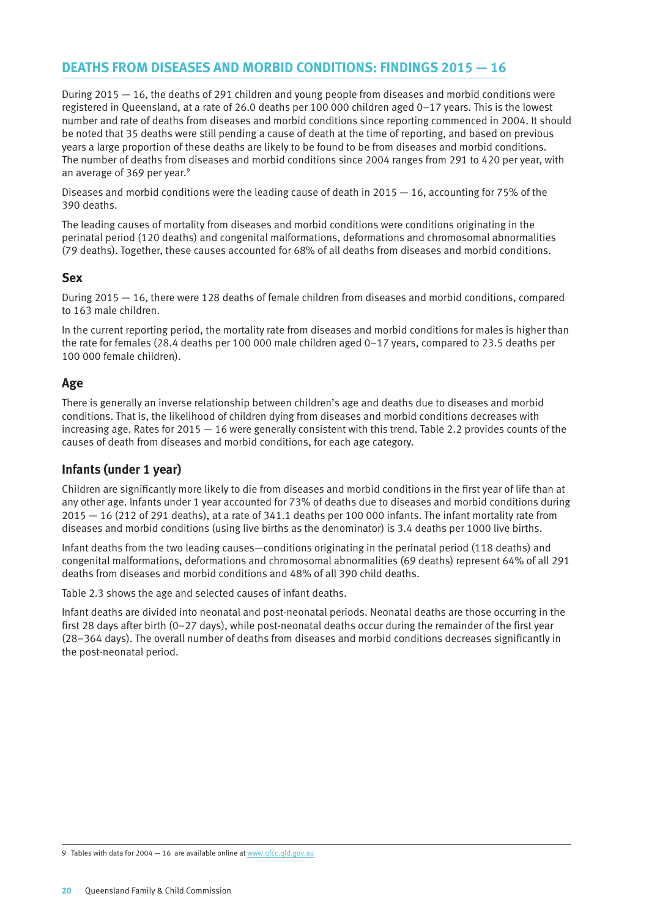# **DEATHS FROM DISEASES AND MORBID CONDITIONS: FINDINGS 2015 — 16**

During 2015 — 16, the deaths of 291 children and young people from diseases and morbid conditions were registered in Queensland, at a rate of 26.0 deaths per 100 000 children aged 0–17 years. This is the lowest number and rate of deaths from diseases and morbid conditions since reporting commenced in 2004. It should be noted that 35 deaths were still pending a cause of death at the time of reporting, and based on previous years a large proportion of these deaths are likely to be found to be from diseases and morbid conditions. The number of deaths from diseases and morbid conditions since 2004 ranges from 291 to 420 per year, with an average of 369 per year.<sup>9</sup>

Diseases and morbid conditions were the leading cause of death in 2015  $-$  16, accounting for 75% of the 390 deaths.

The leading causes of mortality from diseases and morbid conditions were conditions originating in the perinatal period (120 deaths) and congenital malformations, deformations and chromosomal abnormalities (79 deaths). Together, these causes accounted for 68% of all deaths from diseases and morbid conditions.

## **Sex**

During 2015 — 16, there were 128 deaths of female children from diseases and morbid conditions, compared to 163 male children.

In the current reporting period, the mortality rate from diseases and morbid conditions for males is higher than the rate for females (28.4 deaths per 100 000 male children aged 0–17 years, compared to 23.5 deaths per 100 000 female children).

## **Age**

There is generally an inverse relationship between children's age and deaths due to diseases and morbid conditions. That is, the likelihood of children dying from diseases and morbid conditions decreases with increasing age. Rates for 2015 — 16 were generally consistent with this trend. Table 2.2 provides counts of the causes of death from diseases and morbid conditions, for each age category.

# **Infants (under 1 year)**

Children are significantly more likely to die from diseases and morbid conditions in the first year of life than at any other age. Infants under 1 year accounted for 73% of deaths due to diseases and morbid conditions during 2015 — 16 (212 of 291 deaths), at a rate of 341.1 deaths per 100 000 infants. The infant mortality rate from diseases and morbid conditions (using live births as the denominator) is 3.4 deaths per 1000 live births.

Infant deaths from the two leading causes—conditions originating in the perinatal period (118 deaths) and congenital malformations, deformations and chromosomal abnormalities (69 deaths) represent 64% of all 291 deaths from diseases and morbid conditions and 48% of all 390 child deaths.

Table 2.3 shows the age and selected causes of infant deaths.

Infant deaths are divided into neonatal and post-neonatal periods. Neonatal deaths are those occurring in the first 28 days after birth (0–27 days), while post-neonatal deaths occur during the remainder of the first year (28–364 days). The overall number of deaths from diseases and morbid conditions decreases significantly in the post-neonatal period.

9 Tables with data for 2004 - 16 are available online at [www.qfcc.qld.gov.au](http://www.qfcc.qld.gov.au)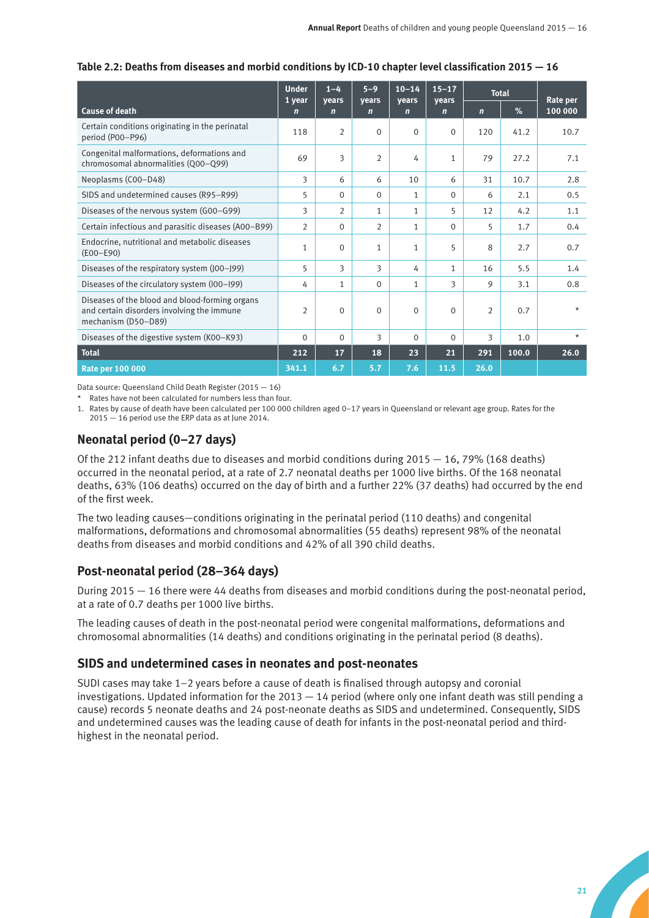|                                                                                                                     | <b>Under</b><br>1 year | $1 - 4$<br>vears | $5 - 9$<br>vears | $10 - 14$<br>vears | $15 - 17$<br>vears | <b>Total</b>   |       | Rate per |
|---------------------------------------------------------------------------------------------------------------------|------------------------|------------------|------------------|--------------------|--------------------|----------------|-------|----------|
| <b>Cause of death</b>                                                                                               | $\mathbf n$            | $\mathbf n$      | $\mathbf n$      | $\mathbf n$        | $\mathbf n$        | $\overline{ }$ | %     | 100 000  |
| Certain conditions originating in the perinatal<br>period (P00-P96)                                                 | 118                    | $\overline{2}$   | $\Omega$         | $\Omega$           | $\Omega$           | 120            | 41.2  | 10.7     |
| Congenital malformations, deformations and<br>chromosomal abnormalities (Q00-Q99)                                   | 69                     | 3                | $\overline{2}$   | 4                  | $\mathbf{1}$       | 79             | 27.2  | 7.1      |
| Neoplasms (C00-D48)                                                                                                 | 3                      | 6                | 6                | 10                 | 6                  | 31             | 10.7  | 2.8      |
| SIDS and undetermined causes (R95-R99)                                                                              | 5                      | $\Omega$         | $\Omega$         | $\mathbf{1}$       | $\Omega$           | 6              | 2.1   | 0.5      |
| Diseases of the nervous system (G00-G99)                                                                            | 3                      | $\overline{2}$   | $\mathbf{1}$     | 1                  | 5                  | 12             | 4.2   | 1.1      |
| Certain infectious and parasitic diseases (A00-B99)                                                                 | $\overline{2}$         | $\Omega$         | $\overline{2}$   | $\mathbf{1}$       | $\Omega$           | 5              | 1.7   | 0.4      |
| Endocrine, nutritional and metabolic diseases<br>$(EOO-E90)$                                                        | 1                      | $\Omega$         | $\mathbf{1}$     | 1                  | 5                  | 8              | 2.7   | 0.7      |
| Diseases of the respiratory system (J00-J99)                                                                        | 5                      | 3                | 3                | 4                  | $\mathbf{1}$       | 16             | 5.5   | 1.4      |
| Diseases of the circulatory system (I00-I99)                                                                        | 4                      | $\mathbf{1}$     | $\Omega$         | $\mathbf{1}$       | 3                  | 9              | 3.1   | 0.8      |
| Diseases of the blood and blood-forming organs<br>and certain disorders involving the immune<br>mechanism (D50-D89) | $\overline{2}$         | $\Omega$         | $\Omega$         | $\Omega$           | $\Omega$           | $\overline{2}$ | 0.7   | $\star$  |
| Diseases of the digestive system (K00-K93)                                                                          | $\Omega$               | $\Omega$         | 3                | $\Omega$           | $\Omega$           | 3              | 1.0   | $\star$  |
| Total                                                                                                               | 212                    | 17               | 18               | 23                 | 21                 | 291            | 100.0 | 26.0     |
| <b>Rate per 100 000</b>                                                                                             | 341.1                  | 6.7              | 5.7              | 7.6                | 11.5               | 26.0           |       |          |

#### **Table 2.2: Deaths from diseases and morbid conditions by ICD-10 chapter level classification 2015 — 16**

Data source: Queensland Child Death Register (2015 — 16)

\* Rates have not been calculated for numbers less than four.

1. Rates by cause of death have been calculated per 100 000 children aged 0–17 years in Queensland or relevant age group. Rates for the 2015 — 16 period use the ERP data as at June 2014.

# **Neonatal period (0–27 days)**

Of the 212 infant deaths due to diseases and morbid conditions during  $2015 - 16$ , 79% (168 deaths) occurred in the neonatal period, at a rate of 2.7 neonatal deaths per 1000 live births. Of the 168 neonatal deaths, 63% (106 deaths) occurred on the day of birth and a further 22% (37 deaths) had occurred by the end of the first week.

The two leading causes—conditions originating in the perinatal period (110 deaths) and congenital malformations, deformations and chromosomal abnormalities (55 deaths) represent 98% of the neonatal deaths from diseases and morbid conditions and 42% of all 390 child deaths.

# **Post-neonatal period (28–364 days)**

During 2015 — 16 there were 44 deaths from diseases and morbid conditions during the post-neonatal period, at a rate of 0.7 deaths per 1000 live births.

The leading causes of death in the post-neonatal period were congenital malformations, deformations and chromosomal abnormalities (14 deaths) and conditions originating in the perinatal period (8 deaths).

## **SIDS and undetermined cases in neonates and post-neonates**

SUDI cases may take 1–2 years before a cause of death is finalised through autopsy and coronial investigations. Updated information for the 2013 — 14 period (where only one infant death was still pending a cause) records 5 neonate deaths and 24 post-neonate deaths as SIDS and undetermined. Consequently, SIDS and undetermined causes was the leading cause of death for infants in the post-neonatal period and thirdhighest in the neonatal period.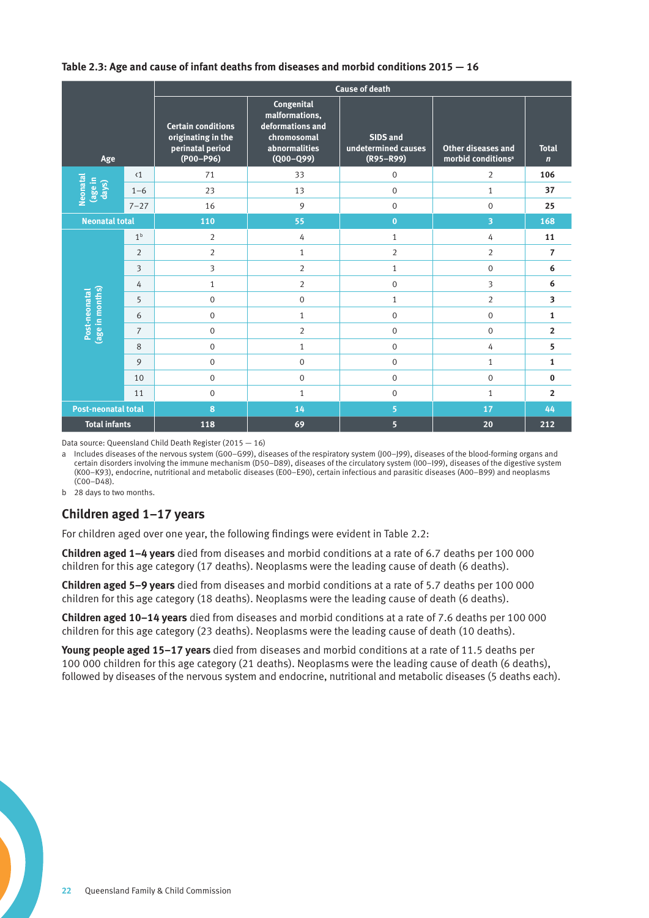#### **Table 2.3: Age and cause of infant deaths from diseases and morbid conditions 2015 — 16**

|                                       |                |                                                                                    |                                                                                                   | <b>Cause of death</b>                            |                                                      |                             |
|---------------------------------------|----------------|------------------------------------------------------------------------------------|---------------------------------------------------------------------------------------------------|--------------------------------------------------|------------------------------------------------------|-----------------------------|
| Age                                   |                | <b>Certain conditions</b><br>originating in the<br>perinatal period<br>$(POO-P96)$ | Congenital<br>malformations,<br>deformations and<br>chromosomal<br>abnormalities<br>$(Q00 - Q99)$ | SIDS and<br>undetermined causes<br>$(R95 - R99)$ | Other diseases and<br>morbid conditions <sup>a</sup> | <b>Total</b><br>$\mathbf n$ |
|                                       | $\langle 1$    | 71                                                                                 | 33                                                                                                | $\boldsymbol{0}$                                 | $\overline{2}$                                       | 106                         |
| <b>Neonatal</b><br>(age in  <br>days) | $1 - 6$        | 23                                                                                 | 13                                                                                                | $\mathbf{0}$                                     | $\mathbf{1}$                                         | 37                          |
|                                       | $7 - 27$       | 16                                                                                 | 9                                                                                                 | $\mathbf 0$                                      | $\Omega$                                             | 25                          |
| <b>Neonatal total</b>                 |                | 110                                                                                | 55                                                                                                | $\mathbf{0}$                                     | 3                                                    | 168                         |
|                                       | 1 <sup>b</sup> | 2                                                                                  | 4                                                                                                 | $\mathbf{1}$                                     | 4                                                    | 11                          |
|                                       | $\overline{2}$ | $\overline{2}$                                                                     | $\mathbf{1}$                                                                                      | $\overline{2}$                                   | $\overline{2}$                                       | $\overline{7}$              |
|                                       | 3              | 3                                                                                  | $\overline{2}$                                                                                    | $\mathbf{1}$                                     | $\mathbf 0$                                          | 6                           |
|                                       | 4              | $\mathbf{1}$                                                                       | $\overline{2}$                                                                                    | $\mathbf 0$                                      | 3                                                    | 6                           |
|                                       | 5              | $\mathbf 0$                                                                        | 0                                                                                                 | $\mathbf{1}$                                     | 2                                                    | $\overline{\mathbf{3}}$     |
|                                       | 6              | $\mathbf{0}$                                                                       | $\mathbf{1}$                                                                                      | $\mathbf 0$                                      | $\Omega$                                             | $\mathbf{1}$                |
| (age in months)<br>Post-neonatal      | $\overline{7}$ | $\mathbf{0}$                                                                       | $\overline{2}$                                                                                    | $\mathbf 0$                                      | $\Omega$                                             | $\overline{2}$              |
|                                       | 8              | $\mathbf{0}$                                                                       | $\mathbf{1}$                                                                                      | $\mathbf 0$                                      | 4                                                    | 5                           |
|                                       | 9              | $\mathbf 0$                                                                        | 0                                                                                                 | $\mathbf{0}$                                     | $\mathbf{1}$                                         | $\mathbf{1}$                |
|                                       | 10             | $\mathbf 0$                                                                        | 0                                                                                                 | $\mathbf 0$                                      | $\Omega$                                             | $\bf{0}$                    |
|                                       | 11             | $\mathbf 0$                                                                        | $\mathbf{1}$                                                                                      | $\boldsymbol{0}$                                 | $\mathbf{1}$                                         | $\overline{2}$              |
| <b>Post-neonatal total</b>            |                | 8                                                                                  | 14                                                                                                | 5                                                | 17                                                   | 44                          |
| <b>Total infants</b>                  |                | 118                                                                                | 69                                                                                                | 5 <sup>5</sup>                                   | 20                                                   | 212                         |

Data source: Queensland Child Death Register (2015 — 16)

a Includes diseases of the nervous system (G00–G99), diseases of the respiratory system (J00–J99), diseases of the blood-forming organs and certain disorders involving the immune mechanism (D50–D89), diseases of the circulatory system (I00–I99), diseases of the digestive system (K00–K93), endocrine, nutritional and metabolic diseases (E00–E90), certain infectious and parasitic diseases (A00–B99) and neoplasms (C00–D48).

b 28 days to two months.

## **Children aged 1−17 years**

For children aged over one year, the following findings were evident in Table 2.2:

**Children aged 1−4 years** died from diseases and morbid conditions at a rate of 6.7 deaths per 100 000 children for this age category (17 deaths). Neoplasms were the leading cause of death (6 deaths).

**Children aged 5−9 years** died from diseases and morbid conditions at a rate of 5.7 deaths per 100 000 children for this age category (18 deaths). Neoplasms were the leading cause of death (6 deaths).

**Children aged 10−14 years** died from diseases and morbid conditions at a rate of 7.6 deaths per 100 000 children for this age category (23 deaths). Neoplasms were the leading cause of death (10 deaths).

**Young people aged 15−17 years** died from diseases and morbid conditions at a rate of 11.5 deaths per 100 000 children for this age category (21 deaths). Neoplasms were the leading cause of death (6 deaths), followed by diseases of the nervous system and endocrine, nutritional and metabolic diseases (5 deaths each).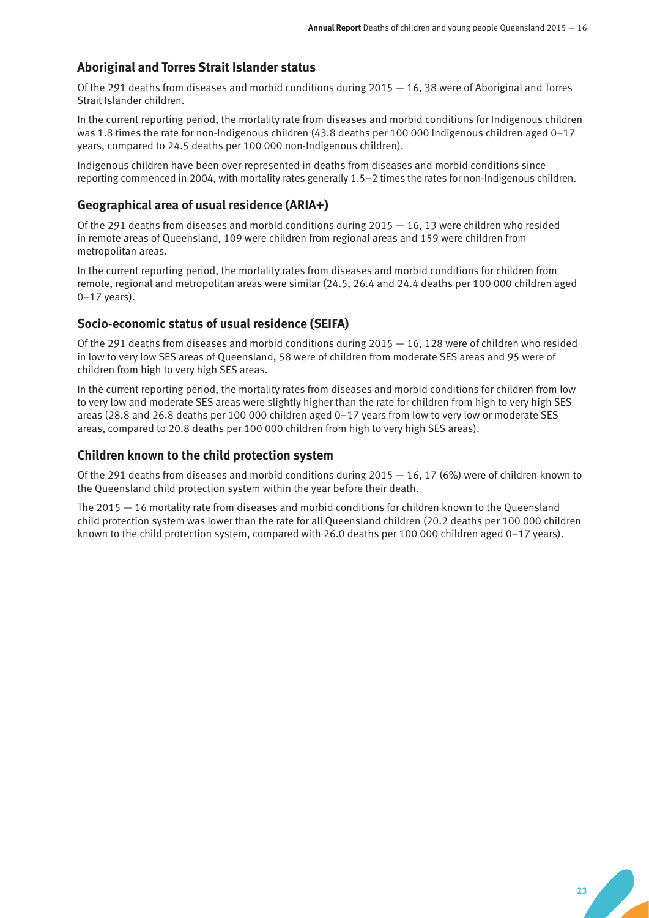## **Aboriginal and Torres Strait Islander status**

Of the 291 deaths from diseases and morbid conditions during 2015 — 16, 38 were of Aboriginal and Torres Strait Islander children.

In the current reporting period, the mortality rate from diseases and morbid conditions for Indigenous children was 1.8 times the rate for non-Indigenous children (43.8 deaths per 100 000 Indigenous children aged 0–17 years, compared to 24.5 deaths per 100 000 non-Indigenous children).

Indigenous children have been over-represented in deaths from diseases and morbid conditions since reporting commenced in 2004, with mortality rates generally 1.5–2 times the rates for non-Indigenous children.

### **Geographical area of usual residence (ARIA+)**

Of the 291 deaths from diseases and morbid conditions during  $2015 - 16$ , 13 were children who resided in remote areas of Queensland, 109 were children from regional areas and 159 were children from metropolitan areas.

In the current reporting period, the mortality rates from diseases and morbid conditions for children from remote, regional and metropolitan areas were similar (24.5, 26.4 and 24.4 deaths per 100 000 children aged  $0-17$  years).

#### **Socio-economic status of usual residence (SEIFA)**

Of the 291 deaths from diseases and morbid conditions during 2015 — 16, 128 were of children who resided in low to very low SES areas of Queensland, 58 were of children from moderate SES areas and 95 were of children from high to very high SES areas.

In the current reporting period, the mortality rates from diseases and morbid conditions for children from low to very low and moderate SES areas were slightly higher than the rate for children from high to very high SES areas (28.8 and 26.8 deaths per 100 000 children aged 0–17 years from low to very low or moderate SES areas, compared to 20.8 deaths per 100 000 children from high to very high SES areas).

#### **Children known to the child protection system**

Of the 291 deaths from diseases and morbid conditions during  $2015 - 16$ , 17 (6%) were of children known to the Queensland child protection system within the year before their death.

The 2015 — 16 mortality rate from diseases and morbid conditions for children known to the Queensland child protection system was lower than the rate for all Queensland children (20.2 deaths per 100 000 children known to the child protection system, compared with 26.0 deaths per 100 000 children aged 0–17 years).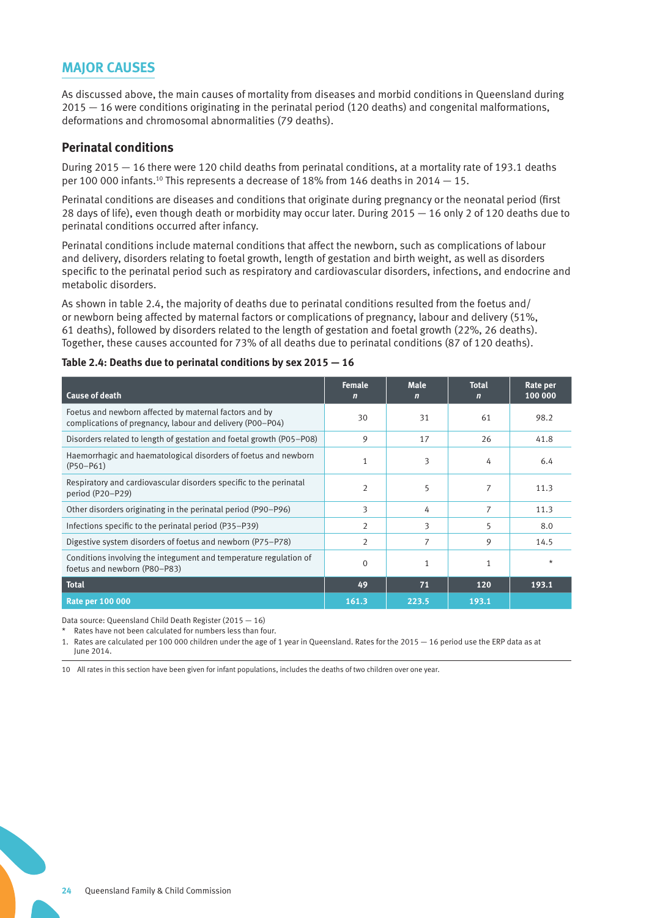# **MAJOR CAUSES**

As discussed above, the main causes of mortality from diseases and morbid conditions in Queensland during 2015 — 16 were conditions originating in the perinatal period (120 deaths) and congenital malformations, deformations and chromosomal abnormalities (79 deaths).

#### **Perinatal conditions**

During 2015 — 16 there were 120 child deaths from perinatal conditions, at a mortality rate of 193.1 deaths per 100 000 infants.<sup>10</sup> This represents a decrease of 18% from 146 deaths in 2014  $-$  15.

Perinatal conditions are diseases and conditions that originate during pregnancy or the neonatal period (first 28 days of life), even though death or morbidity may occur later. During 2015 — 16 only 2 of 120 deaths due to perinatal conditions occurred after infancy.

Perinatal conditions include maternal conditions that affect the newborn, such as complications of labour and delivery, disorders relating to foetal growth, length of gestation and birth weight, as well as disorders specific to the perinatal period such as respiratory and cardiovascular disorders, infections, and endocrine and metabolic disorders.

As shown in table 2.4, the majority of deaths due to perinatal conditions resulted from the foetus and/ or newborn being affected by maternal factors or complications of pregnancy, labour and delivery (51%, 61 deaths), followed by disorders related to the length of gestation and foetal growth (22%, 26 deaths). Together, these causes accounted for 73% of all deaths due to perinatal conditions (87 of 120 deaths).

| <b>Cause of death</b>                                                                                               | <b>Female</b><br>$\mathbf n$ | <b>Male</b><br>$\mathbf n$ | <b>Total</b><br>$\mathbf n$ | Rate per<br>100 000 |
|---------------------------------------------------------------------------------------------------------------------|------------------------------|----------------------------|-----------------------------|---------------------|
| Foetus and newborn affected by maternal factors and by<br>complications of pregnancy, labour and delivery (P00-P04) | 30                           | 31                         | 61                          | 98.2                |
| Disorders related to length of gestation and foetal growth (P05-P08)                                                | 9                            | 17                         | 26                          | 41.8                |
| Haemorrhagic and haematological disorders of foetus and newborn<br>$(P50 - P61)$                                    | 1                            | 3                          | 4                           | 6.4                 |
| Respiratory and cardiovascular disorders specific to the perinatal<br>period (P20-P29)                              | $\overline{2}$               | 5                          | $\overline{7}$              | 11.3                |
| Other disorders originating in the perinatal period (P90–P96)                                                       | 3                            | 4                          | 7                           | 11.3                |
| Infections specific to the perinatal period (P35–P39)                                                               | 2                            | 3                          | 5                           | 8.0                 |
| Digestive system disorders of foetus and newborn (P75–P78)                                                          | $\overline{2}$               | 7                          | 9                           | 14.5                |
| Conditions involving the integument and temperature regulation of<br>foetus and newborn (P80-P83)                   | $\mathbf 0$                  | $\mathbf{1}$               | 1                           | $\star$             |
| <b>Total</b>                                                                                                        | 49                           | 71                         | 120                         | 193.1               |
| <b>Rate per 100 000</b>                                                                                             | 161.3                        | 223.5                      | 193.1                       |                     |

#### **Table 2.4: Deaths due to perinatal conditions by sex 2015 — 16**

Data source: Queensland Child Death Register (2015 — 16)

Rates have not been calculated for numbers less than four.

1. Rates are calculated per 100 000 children under the age of 1 year in Queensland. Rates for the 2015 — 16 period use the ERP data as at June 2014.

10 All rates in this section have been given for infant populations, includes the deaths of two children over one year.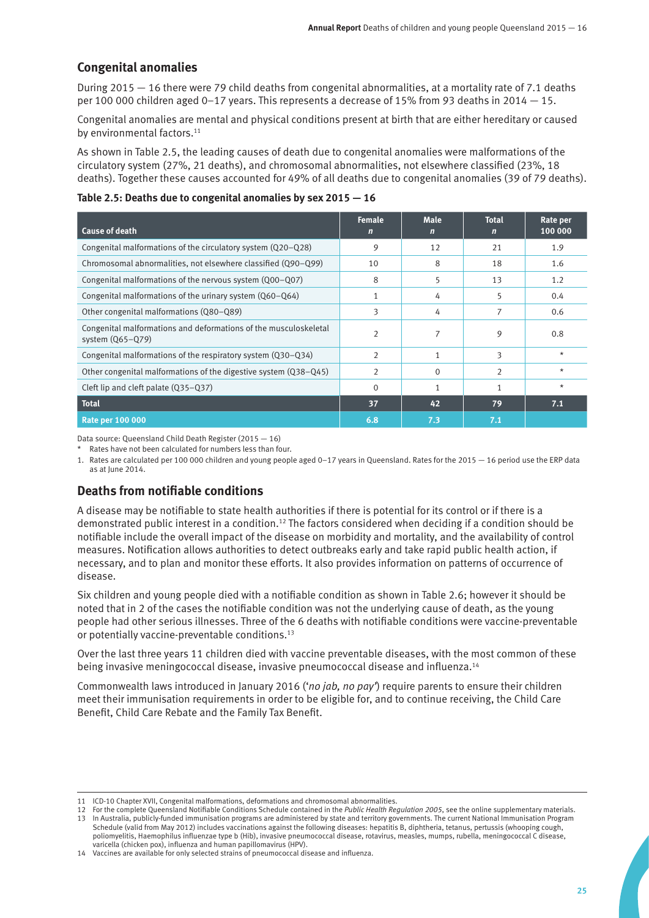# **Congenital anomalies**

During 2015 — 16 there were 79 child deaths from congenital abnormalities, at a mortality rate of 7.1 deaths per 100 000 children aged 0–17 years. This represents a decrease of 15% from 93 deaths in 2014 — 15.

Congenital anomalies are mental and physical conditions present at birth that are either hereditary or caused by environmental factors.<sup>11</sup>

As shown in Table 2.5, the leading causes of death due to congenital anomalies were malformations of the circulatory system (27%, 21 deaths), and chromosomal abnormalities, not elsewhere classified (23%, 18 deaths). Together these causes accounted for 49% of all deaths due to congenital anomalies (39 of 79 deaths).

#### **Table 2.5: Deaths due to congenital anomalies by sex 2015 — 16**

| <b>Cause of death</b>                                                                  | <b>Female</b><br>$\mathbf n$ | <b>Male</b><br>n | <b>Total</b><br>n | Rate per<br>100 000 |
|----------------------------------------------------------------------------------------|------------------------------|------------------|-------------------|---------------------|
| Congenital malformations of the circulatory system (Q20-Q28)                           | 9                            | 12               | 21                | 1.9                 |
| Chromosomal abnormalities, not elsewhere classified (Q90-Q99)                          | 10                           | 8                | 18                | 1.6                 |
| Congenital malformations of the nervous system (Q00-Q07)                               | 8                            | 5                | 13                | 1.2                 |
| Congenital malformations of the urinary system (Q60-Q64)                               |                              | 4                | 5                 | 0.4                 |
| Other congenital malformations (Q80-Q89)                                               | 3                            | 4                |                   | 0.6                 |
| Congenital malformations and deformations of the musculoskeletal<br>system $(Q65-Q79)$ |                              |                  | 9                 | 0.8                 |
| Congenital malformations of the respiratory system (Q30-Q34)                           | $\overline{2}$               | 1                | 3                 | $\star$             |
| Other congenital malformations of the digestive system (Q38–Q45)                       | $\overline{2}$               | $\Omega$         | 2                 | $\star$             |
| Cleft lip and cleft palate (Q35-Q37)                                                   | $\Omega$                     | 1                |                   | $\star$             |
| <b>Total</b>                                                                           | 37                           | 42               | 79                | 7.1                 |
| <b>Rate per 100 000</b>                                                                | 6.8                          | 7.3              | 7.1               |                     |

Data source: Queensland Child Death Register (2015 — 16)

\* Rates have not been calculated for numbers less than four.

1. Rates are calculated per 100 000 children and young people aged 0–17 years in Queensland. Rates for the 2015 — 16 period use the ERP data as at June 2014.

# **Deaths from notifiable conditions**

A disease may be notifiable to state health authorities if there is potential for its control or if there is a demonstrated public interest in a condition.12 The factors considered when deciding if a condition should be notifiable include the overall impact of the disease on morbidity and mortality, and the availability of control measures. Notification allows authorities to detect outbreaks early and take rapid public health action, if necessary, and to plan and monitor these efforts. It also provides information on patterns of occurrence of disease.

Six children and young people died with a notifiable condition as shown in Table 2.6; however it should be noted that in 2 of the cases the notifiable condition was not the underlying cause of death, as the young people had other serious illnesses. Three of the 6 deaths with notifiable conditions were vaccine-preventable or potentially vaccine-preventable conditions.<sup>13</sup>

Over the last three years 11 children died with vaccine preventable diseases, with the most common of these being invasive meningococcal disease, invasive pneumococcal disease and influenza.14

Commonwealth laws introduced in January 2016 ('*no jab, no pay'*) require parents to ensure their children meet their immunisation requirements in order to be eligible for, and to continue receiving, the Child Care Benefit, Child Care Rebate and the Family Tax Benefit.

<sup>11</sup> ICD-10 Chapter XVII, Congenital malformations, deformations and chromosomal abnormalities.

<sup>12</sup> For the complete Queensland Notifiable Conditions Schedule contained in the *Public Health Regulation 2005*, see the online supplementary materials. 13 In Australia, publicly-funded immunisation programs are administered by state and territory governments. The current National Immunisation Program Schedule (valid from May 2012) includes vaccinations against the following diseases: hepatitis B, diphtheria, tetanus, pertussis (whooping cough, poliomyelitis, Haemophilus influenzae type b (Hib), invasive pneumococcal disease, rotavirus, measles, mumps, rubella, meningococcal C disease, varicella (chicken pox), influenza and human papillomavirus (HPV).

<sup>14</sup> Vaccines are available for only selected strains of pneumococcal disease and influenza.